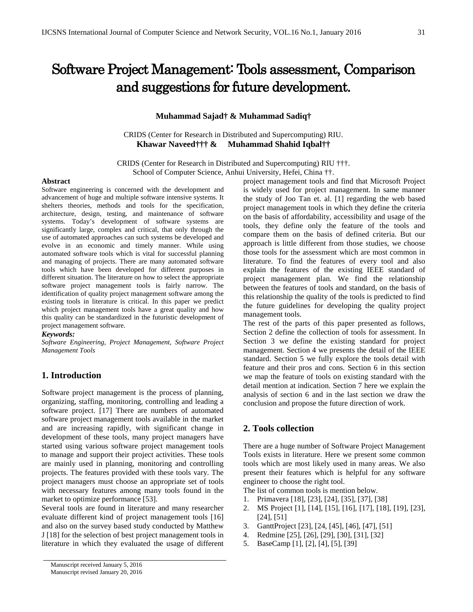# Software Project Management: Tools assessment, Comparison and suggestions for future development.

## **Muhammad Sajad† & Muhammad Sadiq†**

CRIDS (Center for Research in Distributed and Supercomputing) RIU. **Khawar Naveed††† & Muhammad Shahid Iqbal††**

CRIDS (Center for Research in Distributed and Supercomputing) RIU †††. School of Computer Science, Anhui University, Hefei, China ††.

#### **Abstract**

Software engineering is concerned with the development and advancement of huge and multiple software intensive systems. It shelters theories, methods and tools for the specification, architecture, design, testing, and maintenance of software systems. Today's development of software systems are significantly large, complex and critical, that only through the use of automated approaches can such systems be developed and evolve in an economic and timely manner. While using automated software tools which is vital for successful planning and managing of projects. There are many automated software tools which have been developed for different purposes in different situation. The literature on how to select the appropriate software project management tools is fairly narrow. The identification of quality project management software among the existing tools in literature is critical. In this paper we predict which project management tools have a great quality and how this quality can be standardized in the futuristic development of project management software.

#### *Keywords:*

*Software Engineering, Project Management, Software Project Management Tools*

# **1. Introduction**

Software project management is the process of planning, organizing, staffing, monitoring, controlling and leading a software project. [17] There are numbers of automated software project management tools available in the market and are increasing rapidly, with significant change in development of these tools, many project managers have started using various software project management tools to manage and support their project activities. These tools are mainly used in planning, monitoring and controlling projects. The features provided with these tools vary. The project managers must choose an appropriate set of tools with necessary features among many tools found in the market to optimize performance [53].

Several tools are found in literature and many researcher evaluate different kind of project management tools [16] and also on the survey based study conducted by Matthew J [18] for the selection of best project management tools in literature in which they evaluated the usage of different project management tools and find that Microsoft Project is widely used for project management. In same manner the study of Joo Tan et. al. [1] regarding the web based project management tools in which they define the criteria on the basis of affordability, accessibility and usage of the tools, they define only the feature of the tools and compare them on the basis of defined criteria. But our approach is little different from those studies, we choose those tools for the assessment which are most common in literature. To find the features of every tool and also explain the features of the existing IEEE standard of project management plan. We find the relationship between the features of tools and standard, on the basis of this relationship the quality of the tools is predicted to find the future guidelines for developing the quality project management tools.

The rest of the parts of this paper presented as follows, Section 2 define the collection of tools for assessment. In Section 3 we define the existing standard for project management. Section 4 we presents the detail of the IEEE standard. Section 5 we fully explore the tools detail with feature and their pros and cons. Section 6 in this section we map the feature of tools on existing standard with the detail mention at indication. Section 7 here we explain the analysis of section 6 and in the last section we draw the conclusion and propose the future direction of work.

# **2. Tools collection**

There are a huge number of Software Project Management Tools exists in literature. Here we present some common tools which are most likely used in many areas. We also present their features which is helpful for any software engineer to choose the right tool.

The list of common tools is mention below.

- 1. Primavera [18], [23], [24], [35], [37], [38]
- 2. MS Project [1], [14], [15], [16], [17], [18], [19], [23], [24], [51]
- 3. GanttProject [23], [24, [45], [46], [47], [51]
- 4. Redmine [25], [26], [29], [30], [31], [32]
- 5. BaseCamp [1], [2], [4], [5], [39]

Manuscript received January 5, 2016 Manuscript revised January 20, 2016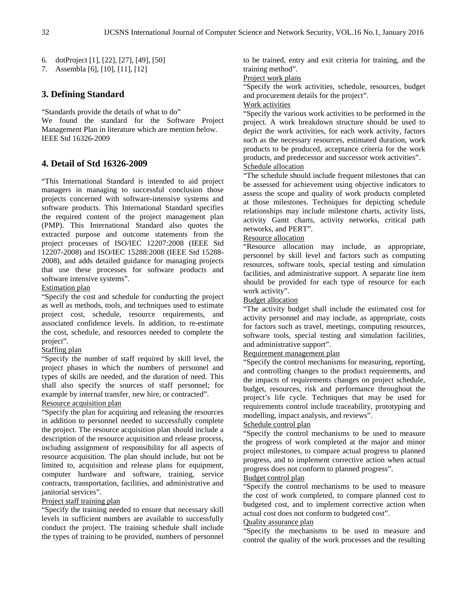7. Assembla [6], [10], [11], [12]

## **3. Defining Standard**

"Standards provide the details of what to do" We found the standard for the Software Project Management Plan in literature which are mention below. IEEE Std 16326-2009

## **4. Detail of Std 16326-2009**

"This International Standard is intended to aid project managers in managing to successful conclusion those projects concerned with software-intensive systems and software products. This International Standard specifies the required content of the project management plan (PMP). This International Standard also quotes the extracted purpose and outcome statements from the project processes of ISO/IEC 12207:2008 (IEEE Std 12207-2008) and ISO/IEC 15288:2008 (IEEE Std 15288- 2008), and adds detailed guidance for managing projects that use these processes for software products and software intensive systems".

#### Estimation plan

"Specify the cost and schedule for conducting the project as well as methods, tools, and techniques used to estimate project cost, schedule, resource requirements, and associated confidence levels. In addition, to re-estimate the cost, schedule, and resources needed to complete the project".

## Staffing plan

"Specify the number of staff required by skill level, the project phases in which the numbers of personnel and types of skills are needed, and the duration of need. This shall also specify the sources of staff personnel; for example by internal transfer, new hire, or contracted".

# Resource acquisition plan

"Specify the plan for acquiring and releasing the resources in addition to personnel needed to successfully complete the project. The resource acquisition plan should include a description of the resource acquisition and release process, including assignment of responsibility for all aspects of resource acquisition. The plan should include, but not be limited to, acquisition and release plans for equipment, computer hardware and software, training, service contracts, transportation, facilities, and administrative and ianitorial services".

## Project staff training plan

"Specify the training needed to ensure that necessary skill levels in sufficient numbers are available to successfully conduct the project. The training schedule shall include the types of training to be provided, numbers of personnel to be trained, entry and exit criteria for training, and the training method".

## Project work plans

"Specify the work activities, schedule, resources, budget and procurement details for the project".

## Work activities

"Specify the various work activities to be performed in the project. A work breakdown structure should be used to depict the work activities, for each work activity, factors such as the necessary resources, estimated duration, work products to be produced, acceptance criteria for the work products, and predecessor and successor work activities". Schedule allocation

"The schedule should include frequent milestones that can be assessed for achievement using objective indicators to assess the scope and quality of work products completed at those milestones. Techniques for depicting schedule relationships may include milestone charts, activity lists, activity Gantt charts, activity networks, critical path networks, and PERT".

## Resource allocation

"Resource allocation may include, as appropriate, personnel by skill level and factors such as computing resources, software tools, special testing and simulation facilities, and administrative support. A separate line item should be provided for each type of resource for each work activity".

#### Budget allocation

"The activity budget shall include the estimated cost for activity personnel and may include, as appropriate, costs for factors such as travel, meetings, computing resources, software tools, special testing and simulation facilities, and administrative support".

## Requirement management plan

"Specify the control mechanisms for measuring, reporting, and controlling changes to the product requirements, and the impacts of requirements changes on project schedule, budget, resources, risk and performance throughout the project's life cycle. Techniques that may be used for requirements control include traceability, prototyping and modelling, impact analysis, and reviews".

### Schedule control plan

"Specify the control mechanisms to be used to measure the progress of work completed at the major and minor project milestones, to compare actual progress to planned progress, and to implement corrective action when actual progress does not conform to planned progress".

#### Budget control plan

"Specify the control mechanisms to be used to measure the cost of work completed, to compare planned cost to budgeted cost, and to implement corrective action when actual cost does not conform to budgeted cost".

## Quality assurance plan

"Specify the mechanisms to be used to measure and control the quality of the work processes and the resulting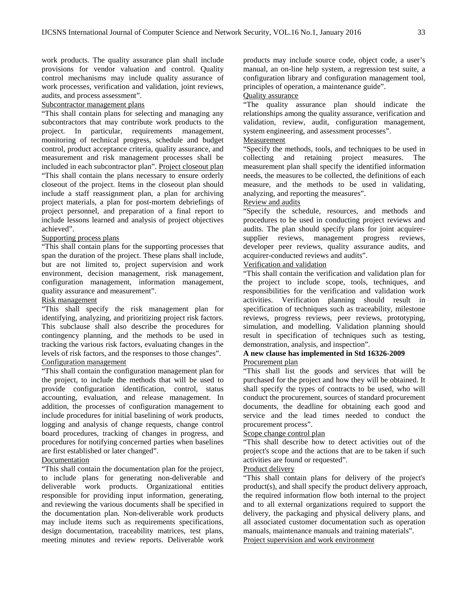work products. The quality assurance plan shall include provisions for vendor valuation and control. Quality control mechanisms may include quality assurance of work processes, verification and validation, joint reviews, audits, and process assessment".

## Subcontractor management plans

"This shall contain plans for selecting and managing any subcontractors that may contribute work products to the project. In particular, requirements management, monitoring of technical progress, schedule and budget control, product acceptance criteria, quality assurance, and measurement and risk management processes shall be included in each subcontractor plan". Project closeout plan "This shall contain the plans necessary to ensure orderly closeout of the project. Items in the closeout plan should include a staff reassignment plan, a plan for archiving project materials, a plan for post-mortem debriefings of project personnel, and preparation of a final report to include lessons learned and analysis of project objectives achieved".

## Supporting process plans

"This shall contain plans for the supporting processes that span the duration of the project. These plans shall include, but are not limited to, project supervision and work environment, decision management, risk management, configuration management, information management, quality assurance and measurement".

#### Risk management

"This shall specify the risk management plan for identifying, analyzing, and prioritizing project risk factors. This subclause shall also describe the procedures for contingency planning, and the methods to be used in tracking the various risk factors, evaluating changes in the levels of risk factors, and the responses to those changes". Configuration management

"This shall contain the configuration management plan for the project, to include the methods that will be used to provide configuration identification, control, status accounting, evaluation, and release management. In addition, the processes of configuration management to include procedures for initial baselining of work products, logging and analysis of change requests, change control board procedures, tracking of changes in progress, and procedures for notifying concerned parties when baselines are first established or later changed".

#### Documentation

"This shall contain the documentation plan for the project, to include plans for generating non-deliverable and deliverable work products. Organizational entities responsible for providing input information, generating, and reviewing the various documents shall be specified in the documentation plan. Non-deliverable work products may include items such as requirements specifications, design documentation, traceability matrices, test plans, meeting minutes and review reports. Deliverable work products may include source code, object code, a user's manual, an on-line help system, a regression test suite, a configuration library and configuration management tool, principles of operation, a maintenance guide".

# Quality assurance

"The quality assurance plan should indicate the relationships among the quality assurance, verification and validation, review, audit, configuration management, system engineering, and assessment processes".

# Measurement

"Specify the methods, tools, and techniques to be used in collecting and retaining project measures. The measurement plan shall specify the identified information needs, the measures to be collected, the definitions of each measure, and the methods to be used in validating, analyzing, and reporting the measures".

## Review and audits

"Specify the schedule, resources, and methods and procedures to be used in conducting project reviews and audits. The plan should specify plans for joint acquirersupplier reviews, management progress reviews, developer peer reviews, quality assurance audits, and acquirer-conducted reviews and audits".

## Verification and validation

"This shall contain the verification and validation plan for the project to include scope, tools, techniques, and responsibilities for the verification and validation work activities. Verification planning should result in specification of techniques such as traceability, milestone reviews, progress reviews, peer reviews, prototyping, simulation, and modelling. Validation planning should result in specification of techniques such as testing, demonstration, analysis, and inspection".

#### **A new clause has implemented in Std 16326-2009** Procurement plan

"This shall list the goods and services that will be purchased for the project and how they will be obtained. It shall specify the types of contracts to be used, who will conduct the procurement, sources of standard procurement documents, the deadline for obtaining each good and service and the lead times needed to conduct the procurement process".

### Scope change control plan

"This shall describe how to detect activities out of the project's scope and the actions that are to be taken if such activities are found or requested".

## Product delivery

"This shall contain plans for delivery of the project's product(s), and shall specify the product delivery approach, the required information flow both internal to the project and to all external organizations required to support the delivery, the packaging and physical delivery plans, and all associated customer documentation such as operation manuals, maintenance manuals and training materials". Project supervision and work environment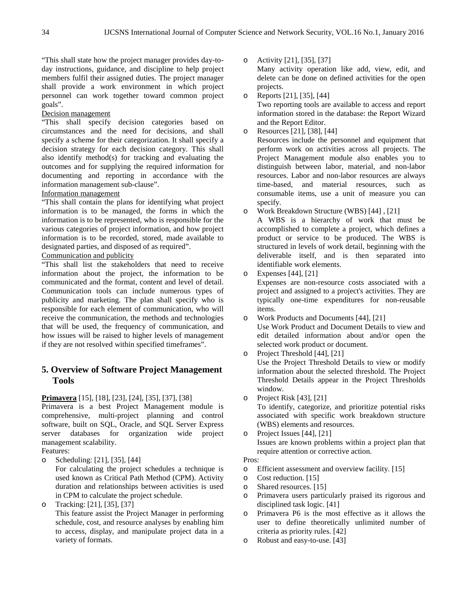"This shall state how the project manager provides day-today instructions, guidance, and discipline to help project members fulfil their assigned duties. The project manager shall provide a work environment in which project personnel can work together toward common project goals".

#### Decision management

"This shall specify decision categories based on circumstances and the need for decisions, and shall specify a scheme for their categorization. It shall specify a decision strategy for each decision category. This shall also identify method(s) for tracking and evaluating the outcomes and for supplying the required information for documenting and reporting in accordance with the information management sub-clause".

## Information management

"This shall contain the plans for identifying what project information is to be managed, the forms in which the information is to be represented, who is responsible for the various categories of project information, and how project information is to be recorded, stored, made available to designated parties, and disposed of as required".

# Communication and publicity

"This shall list the stakeholders that need to receive information about the project, the information to be communicated and the format, content and level of detail. Communication tools can include numerous types of publicity and marketing. The plan shall specify who is responsible for each element of communication, who will receive the communication, the methods and technologies that will be used, the frequency of communication, and how issues will be raised to higher levels of management if they are not resolved within specified timeframes".

# **5. Overview of Software Project Management Tools**

**Primavera** [15], [18], [23], [24], [35], [37], [38]

Primavera is a best Project Management module is comprehensive, multi-project planning and control software, built on SQL, Oracle, and SQL Server Express server databases for organization wide project management scalability.

Features:

o Scheduling: [21], [35], [44]

For calculating the project schedules a technique is used known as Critical Path Method (CPM). Activity duration and relationships between activities is used in CPM to calculate the project schedule.

o Tracking: [21], [35], [37]

This feature assist the Project Manager in performing schedule, cost, and resource analyses by enabling him to access, display, and manipulate project data in a variety of formats.

o Activity [21], [35], [37] Many activity operation like add, view, edit, and delete can be done on defined activities for the open projects.

- o Reports [21], [35], [44] Two reporting tools are available to access and report information stored in the database: the Report Wizard and the Report Editor.
- o Resources [21], [38], [44]

Resources include the personnel and equipment that perform work on activities across all projects. The Project Management module also enables you to distinguish between labor, material, and non-labor resources. Labor and non-labor resources are always time-based, and material resources, such as consumable items, use a unit of measure you can specify.

o Work Breakdown Structure (WBS) [44] , [21]

A WBS is a hierarchy of work that must be accomplished to complete a project, which defines a product or service to be produced. The WBS is structured in levels of work detail, beginning with the deliverable itself, and is then separated into identifiable work elements.

o Expenses [44], [21]

Expenses are non-resource costs associated with a project and assigned to a project's activities. They are typically one-time expenditures for non-reusable items.

- o Work Products and Documents [44], [21] Use Work Product and Document Details to view and edit detailed information about and/or open the selected work product or document.
- o Project Threshold [44], [21] Use the Project Threshold Details to view or modify

information about the selected [threshold.](javascript:BSSCPopup() The Project Threshold Details appear in the [Project Thresholds](mk:@MSITStore:C:%5CProgram%20Files%5COracle%5CPrimavera%20P6%5CProject%20Management%5Cen-us-PM.chm::/Details_and_windows/Project_Thresholds_Window.htm)  [window.](mk:@MSITStore:C:%5CProgram%20Files%5COracle%5CPrimavera%20P6%5CProject%20Management%5Cen-us-PM.chm::/Details_and_windows/Project_Thresholds_Window.htm)

o Project Risk [43], [21]

To identify, categorize, and prioritize potential risks associated with specific work breakdown structure (WBS) elements and resources.

o Project Issues [44], [21] Issues are known problems within a project plan that require attention or corrective action.

## Pros:

- o Efficient assessment and overview facility. [15]
- o Cost reduction. [15]
- o Shared resources. [15]
- o Primavera users particularly praised its rigorous and disciplined task logic. [41]
- o Primavera P6 is the most effective as it allows the user to define theoretically unlimited number of criteria as priority rules. [42]
- Robust and easy-to-use. [43]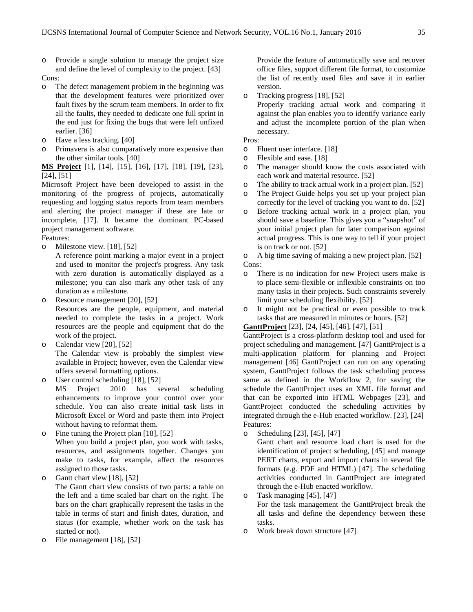o Provide a single solution to manage the project size and define the level of complexity to the project. [43]

#### Cons:

- o The defect management problem in the beginning was that the development features were prioritized over fault fixes by the scrum team members. In order to fix all the faults, they needed to dedicate one full sprint in the end just for fixing the bugs that were left unfixed earlier. [36]
- o Have a less tracking. [40]
- o Primavera is also comparatively more expensive than the other similar tools. [40]

**MS Project** [1], [14], [15], [16], [17], [18], [19], [23], [24], [51]

Microsoft Project have been developed to assist in the monitoring of the progress of projects, automatically requesting and logging status reports from team members and alerting the project manager if these are late or incomplete, [17]. It became the dominant PC-based project management software.

Features:

o Milestone view. [18], [52]

A reference point marking a major event in a project and used to monitor the project's progress. Any task with zero duration is automatically displayed as a milestone; you can also mark any other task of any duration as a milestone.

o Resource management [20], [52]

Resources are the people, equipment, and material needed to complete the tasks in a project. Work resources are the people and equipment that do the work of the project.

o Calendar view [20], [52] The Calendar view is probably the simplest view available in Project; however, even the Calendar view offers several formatting options.

o User control scheduling [18], [52]<br>MS Project 2010 has se

2010 has several scheduling enhancements to improve your control over your schedule. You can also create initial task lists in Microsoft Excel or Word and paste them into Project without having to reformat them.

o Fine tuning the Project plan [18], [52] When you build a project plan, you work with tasks, resources, and assignments together. Changes you make to tasks, for example, affect the resources assigned to those tasks.

o Gantt chart view [18], [52]

The Gantt chart view consists of two parts: a table on the left and a time scaled bar chart on the right. The bars on the chart graphically represent the tasks in the table in terms of start and finish dates, duration, and status (for example, whether work on the task has started or not).

o File management [18], [52]

Provide the feature of automatically save and recover office files, support different file format, to customize the list of recently used files and save it in earlier version.

o Tracking progress [18], [52] Properly tracking actual work and comparing it against the plan enables you to identify variance early and adjust the incomplete portion of the plan when necessary.

### Pros:

- o Fluent user interface. [18]
- o Flexible and ease. [18]
- o The manager should know the costs associated with each work and material resource. [52]
- o The ability to track actual work in a project plan. [52]
- o The Project Guide helps you set up your project plan correctly for the level of tracking you want to do. [52]
- o Before tracking actual work in a project plan, you should save a baseline. This gives you a "snapshot" of your initial project plan for later comparison against actual progress. This is one way to tell if your project is on track or not. [52]

o A big time saving of making a new project plan. [52] Cons:

- o There is no indication for new Project users make is to place semi-flexible or inflexible constraints on too many tasks in their projects. Such constraints severely limit your scheduling flexibility. [52]
- o It might not be practical or even possible to track tasks that are measured in minutes or hours. [52]

**GanttProject** [23], [24, [45], [46], [47], [51]

GanttProject is a cross-platform desktop tool and used for project scheduling and management. [47] GanttProject is a multi-application platform for planning and Project management [46] GanttProject can run on any operating system, GanttProject follows the task scheduling process same as defined in the Workflow 2, for saving the schedule the GanttProject uses an XML file format and that can be exported into HTML Webpages [23], and GanttProject conducted the scheduling activities by integrated through the e-Hub enacted workflow. [23], [24] Features:

o Scheduling [23], [45], [47]

Gantt chart and resource load chart is used for the identification of project scheduling, [45] and manage PERT charts, export and import charts in several file formats (e.g. PDF and HTML) [47]. The scheduling activities conducted in GanttProject are integrated through the e-Hub enacted workflow.

- o Task managing [45], [47] For the task management the GanttProject break the all tasks and define the dependency between these tasks.
- o Work break down structure [47]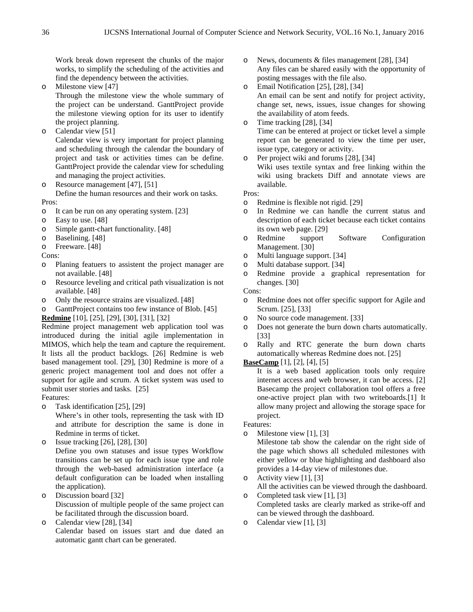Work break down represent the chunks of the major works, to simplify the scheduling of the activities and find the dependency between the activities.

o Milestone view [47]

Through the milestone view the whole summary of the project can be understand. GanttProject provide the milestone viewing option for its user to identify the project planning.

o Calendar view [51]

Calendar view is very important for project planning and scheduling through the calendar the boundary of project and task or activities times can be define. GanttProject provide the calendar view for scheduling and managing the project activities.

o Resource management [47], [51]

Define the human resources and their work on tasks. Pros:

- o It can be run on any operating system. [23] o Easy to use. [48]
- Easy to use. [48]
- o Simple gantt-chart functionality. [48]
- o Baselining. [48]
- Freeware. [48]

Cons:

- o Planing featuers to assistent the project manager are not available. [48]
- o Resource leveling and critical path visualization is not available. [48]
- o Only the resource strains are visualized. [48]
- o GanttProject contains too few instance of Blob. [45]

**Redmine** [10], [25], [29], [30], [31], [32]

Redmine project management web application tool was introduced during the initial agile implementation in MIMOS, which help the team and capture the requirement. It lists all the product backlogs. [26] Redmine is web based management tool. [29], [30] Redmine is more of a generic project management tool and does not offer a support for agile and scrum. A ticket system was used to submit user stories and tasks. [25]

Features:

o Task identification [25], [29]

Where's in other tools, representing the task with ID and attribute for description the same is done in Redmine in terms of ticket.

Issue tracking [26], [28], [30] Define you own statuses and issue types Workflow transitions can be set up for each issue type and role through the web-based administration interface (a default configuration can be loaded when installing the application).

- o Discussion board [32] Discussion of multiple people of the same project can be facilitated through the discussion board.
- o Calendar view [28], [34] Calendar based on issues start and due dated an automatic gantt chart can be generated.
- o News, documents & files management [28], [34] Any files can be shared easily with the opportunity of posting messages with the file also.
- o Email Notification [25], [28], [34] An email can be sent and notify for project activity, change set, news, issues, issue changes for showing the availability of atom feeds.
- o Time tracking [28], [34] Time can be entered at project or ticket level a simple report can be generated to view the time per user, issue type, category or activity.
- o Per project wiki and forums [28], [34] Wiki uses textile syntax and free linking within the wiki using brackets Diff and annotate views are available.

Pros:

- o Redmine is flexible not rigid. [29]
- o In Redmine we can handle the current status and description of each ticket because each ticket contains its own web page. [29]
- o Redmine support Software Configuration Management. [30]
- o Multi language support. [34]
- o Multi database support. [34]
- o Redmine provide a graphical representation for changes. [30]
- Cons:
- o Redmine does not offer specific support for Agile and Scrum. [25], [33]
- o No source code management. [33]<br>
o Does not generate the burn down c
- Does not generate the burn down charts automatically. [33]
- o Rally and RTC generate the burn down charts automatically whereas Redmine does not. [25]

## **BaseCamp** [1], [2], [4], [5]

It is a web based application tools only require internet access and web browser, it can be access. [2] Basecamp the project collaboration tool offers a free one-active project plan with two writeboards.[1] It allow many project and allowing the storage space for project.

#### Features:

o Milestone view [1], [3]

Milestone tab show the calendar on the right side of the page which shows all scheduled milestones with either yellow or blue highlighting and dashboard also provides a 14-day view of milestones due.

o Activity view [1], [3]

All the activities can be viewed through the dashboard. o Completed task view [1], [3]

- Completed tasks are clearly marked as strike-off and can be viewed through the dashboard.
- o Calendar view [1], [3]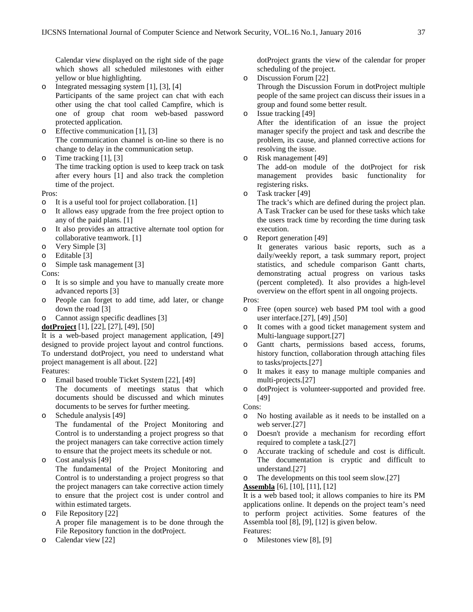Calendar view displayed on the right side of the page which shows all scheduled milestones with either yellow or blue highlighting.

- o Integrated messaging system [1], [3], [4] Participants of the same project can chat with each other using the chat tool called Campfire, which is one of group chat room web-based password protected application.
- o Effective communication [1], [3] The communication channel is on-line so there is no change to delay in the communication setup.
- o Time tracking [1], [3] The time tracking option is used to keep track on task after every hours [1] and also track the completion time of the project.

#### Pros:

- o It is a useful tool for project collaboration. [1]
- o It allows easy upgrade from the free project option to any of the paid plans. [1]
- o It also provides an attractive alternate tool option for collaborative teamwork. [1]
- o Very Simple [3]
- o Editable [3]
- o Simple task management [3]
- Cons:
- o It is so simple and you have to manually create more advanced reports [3]
- o People can forget to add time, add later, or change down the road [3]
- o Cannot assign specific deadlines [3]
- **dotProject** [1], [22], [27], [49], [50]

It is a web-based project management application, [49] designed to provide project layout and control functions. To understand dotProject, you need to understand what project management is all about. [22]

Features:

o Email based trouble Ticket System [22], [49]

The documents of meetings status that which documents should be discussed and which minutes documents to be serves for further meeting.

o Schedule analysis [49]

The fundamental of the Project Monitoring and Control is to understanding a project progress so that the project managers can take corrective action timely to ensure that the project meets its schedule or not.

o Cost analysis [49]

The fundamental of the Project Monitoring and Control is to understanding a project progress so that the project managers can take corrective action timely to ensure that the project cost is under control and within estimated targets.

- o File Repository [22] A proper file management is to be done through the File Repository function in the dotProject.
- Calendar view [22]

dotProject grants the view of the calendar for proper scheduling of the project.

o Discussion Forum [22]

Through the Discussion Forum in dotProject multiple people of the same project can discuss their issues in a group and found some better result.

o Issue tracking [49]

After the identification of an issue the project manager specify the project and task and describe the problem, its cause, and planned corrective actions for resolving the issue.

o Risk management [49]

The add-on module of the dotProject for risk management provides basic functionality for registering risks.

o Task tracker [49]

The track's which are defined during the project plan. A Task Tracker can be used for these tasks which take the users track time by recording the time during task execution.

o Report generation [49]

It generates various basic reports, such as a daily/weekly report, a task summary report, project statistics, and schedule comparison Gantt charts, demonstrating actual progress on various tasks (percent completed). It also provides a high-level overview on the effort spent in all ongoing projects.

#### Pros:

- o Free (open source) web based PM tool with a good user interface.[27], [49] ,[50]
- o It comes with a good ticket management system and Multi-language support.[27]
- o Gantt charts, permissions based access, forums, history function, collaboration through attaching files to tasks/projects.[27]
- o It makes it easy to manage multiple companies and multi-projects.[27]
- o dotProject is volunteer-supported and provided free. [49]

## Cons:

- o No hosting available as it needs to be installed on a web server.[27]
- o Doesn't provide a mechanism for recording effort required to complete a task.[27]
- o Accurate tracking of schedule and cost is difficult. The documentation is cryptic and difficult to understand.[27]
- o The developments on this tool seem slow.[27]

#### **Assembla** [6], [10], [11], [12]

It is a web based tool; it allows companies to hire its PM applications online. It depends on the project team's need to perform project activities. Some features of the Assembla tool [8], [9], [12] is given below.

- Features:
- o Milestones view [8], [9]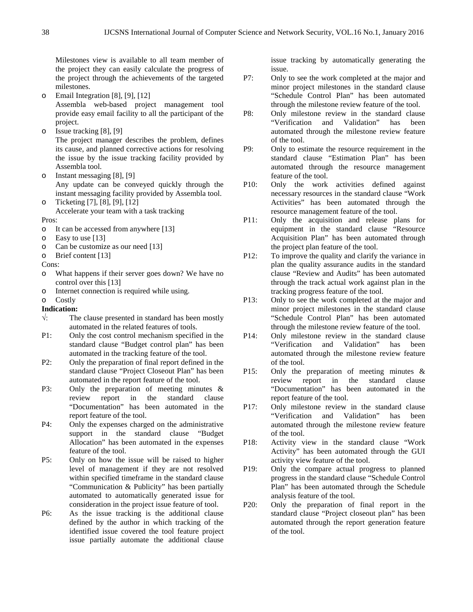Milestones view is available to all team member of the project they can easily calculate the progress of the project through the achievements of the targeted milestones.

- o Email Integration [8], [9], [12] Assembla web-based project management tool provide easy email facility to all the participant of the project.
- o Issue tracking [8], [9] The project manager describes the problem, defines its cause, and planned corrective actions for resolving the issue by the issue tracking facility provided by Assembla tool.
- o Instant messaging [8], [9] Any update can be conveyed quickly through the instant messaging facility provided by Assembla tool. o Ticketing [7], [8], [9], [12]
	- Accelerate your team with a task tracking

Pros:

- o It can be accessed from anywhere [13]
- 
- o Easy to use [13] Can be customize as our need [13]
- o Brief content [13]

Cons:

- o What happens if their server goes down? We have no control over this [13]
- o Internet connection is required while using.
- Costly
- **Indication:**
- $\sqrt{ }$ : The clause presented in standard has been mostly automated in the related features of tools.
- P1: Only the cost control mechanism specified in the standard clause "Budget control plan" has been automated in the tracking feature of the tool.
- P2: Only the preparation of final report defined in the standard clause "Project Closeout Plan" has been automated in the report feature of the tool.
- P3: Only the preparation of meeting minutes & review report in the standard clause "Documentation" has been automated in the report feature of the tool.
- P4: Only the expenses charged on the administrative support in the standard clause "Budget Allocation" has been automated in the expenses feature of the tool.
- P5: Only on how the issue will be raised to higher level of management if they are not resolved within specified timeframe in the standard clause "Communication & Publicity" has been partially automated to automatically generated issue for consideration in the project issue feature of tool.
- P6: As the issue tracking is the additional clause defined by the author in which tracking of the identified issue covered the tool feature project issue partially automate the additional clause

issue tracking by automatically generating the issue.

- P7: Only to see the work completed at the major and minor project milestones in the standard clause "Schedule Control Plan" has been automated through the milestone review feature of the tool.
- P8: Only milestone review in the standard clause "Verification and Validation" has been automated through the milestone review feature of the tool.
- P9: Only to estimate the resource requirement in the standard clause "Estimation Plan" has been automated through the resource management feature of the tool.
- P10: Only the work activities defined against necessary resources in the standard clause "Work Activities" has been automated through the resource management feature of the tool.
- P11: Only the acquisition and release plans for equipment in the standard clause "Resource Acquisition Plan" has been automated through the project plan feature of the tool.
- P12: To improve the quality and clarify the variance in plan the quality assurance audits in the standard clause "Review and Audits" has been automated through the track actual work against plan in the tracking progress feature of the tool.
- P13: Only to see the work completed at the major and minor project milestones in the standard clause "Schedule Control Plan" has been automated through the milestone review feature of the tool.
- P14: Only milestone review in the standard clause "Verification and Validation" has been automated through the milestone review feature of the tool.
- P15: Only the preparation of meeting minutes & review report in the standard clause "Documentation" has been automated in the report feature of the tool.
- P17: Only milestone review in the standard clause "Verification and Validation" has been automated through the milestone review feature of the tool.
- P18: Activity view in the standard clause "Work Activity" has been automated through the GUI activity view feature of the tool.
- P19: Only the compare actual progress to planned progress in the standard clause "Schedule Control Plan" has been automated through the Schedule analysis feature of the tool.
- P20: Only the preparation of final report in the standard clause "Project closeout plan" has been automated through the report generation feature of the tool.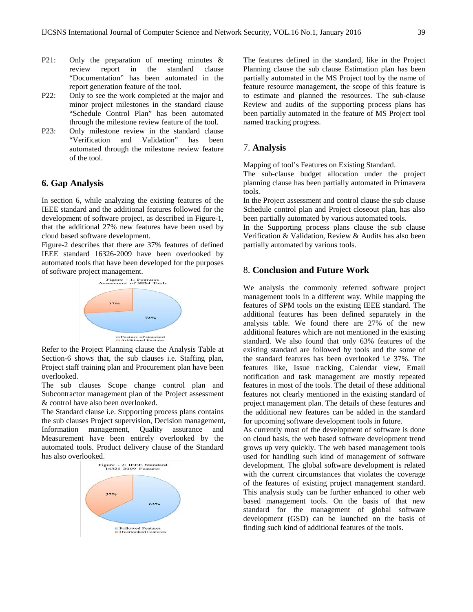- P21: Only the preparation of meeting minutes & review report in the standard clause "Documentation" has been automated in the report generation feature of the tool.
- P22: Only to see the work completed at the major and minor project milestones in the standard clause "Schedule Control Plan" has been automated through the milestone review feature of the tool.
- P23: Only milestone review in the standard clause "Verification and Validation" has been automated through the milestone review feature of the tool.

## **6. Gap Analysis**

In section 6, while analyzing the existing features of the IEEE standard and the additional features followed for the development of software project, as described in Figure-1, that the additional 27% new features have been used by cloud based software development.

Figure-2 describes that there are 37% features of defined IEEE standard 16326-2009 have been overlooked by automated tools that have been developed for the purposes of software project management.<br>
Figure 1: Features



Refer to the Project Planning clause the Analysis Table at Section-6 shows that, the sub clauses i.e. Staffing plan, Project staff training plan and Procurement plan have been overlooked.

The sub clauses Scope change control plan and Subcontractor management plan of the Project assessment & control have also been overlooked.

The Standard clause i.e. Supporting process plans contains the sub clauses Project supervision, Decision management,<br>Information management, Quality assurance and Information management, Measurement have been entirely overlooked by the automated tools. Product delivery clause of the Standard has also overlooked.



The features defined in the standard, like in the Project Planning clause the sub clause Estimation plan has been partially automated in the MS Project tool by the name of feature resource management, the scope of this feature is to estimate and planned the resources. The sub-clause Review and audits of the supporting process plans has been partially automated in the feature of MS Project tool named tracking progress.

## 7. **Analysis**

Mapping of tool's Features on Existing Standard.

The sub-clause budget allocation under the project planning clause has been partially automated in Primavera tools.

In the Project assessment and control clause the sub clause Schedule control plan and Project closeout plan, has also been partially automated by various automated tools.

In the Supporting process plans clause the sub clause Verification & Validation, Review & Audits has also been partially automated by various tools.

## 8. **Conclusion and Future Work**

We analysis the commonly referred software project management tools in a different way. While mapping the features of SPM tools on the existing IEEE standard. The additional features has been defined separately in the analysis table. We found there are 27% of the new additional features which are not mentioned in the existing standard. We also found that only 63% features of the existing standard are followed by tools and the some of the standard features has been overlooked i.e 37%. The features like, Issue tracking, Calendar view, Email notification and task management are mostly repeated features in most of the tools. The detail of these additional features not clearly mentioned in the existing standard of project management plan. The details of these features and the additional new features can be added in the standard for upcoming software development tools in future.

As currently most of the development of software is done on cloud basis, the web based software development trend grows up very quickly. The web based management tools used for handling such kind of management of software development. The global software development is related with the current circumstances that violates the coverage of the features of existing project management standard. This analysis study can be further enhanced to other web based management tools. On the basis of that new standard for the management of global software development (GSD) can be launched on the basis of finding such kind of additional features of the tools.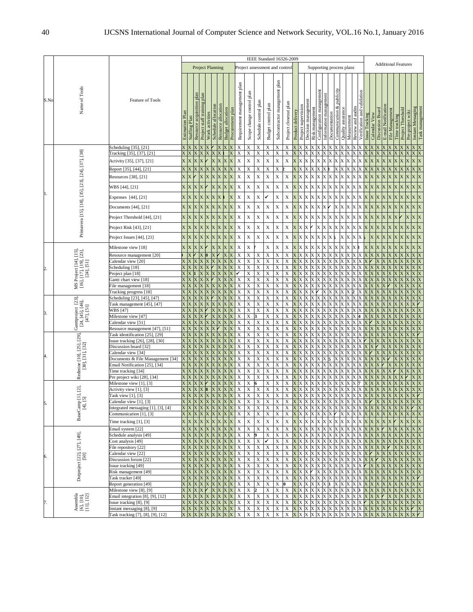|                |                                                                | <b>Feature of Tools</b>                                                                                                    | IEEE Standard 16326-2009                                                             |                   |                                              |                                    |                             |                                 |                          |                     |                                      |                                                     |                                                                  |                                                     |                                           |                            |                                                                   |                                    |                       |                                            |                        |                    |               |                                 |                                        |                             |                        |                                   |                  |                 |                                 |                  |                             |             |
|----------------|----------------------------------------------------------------|----------------------------------------------------------------------------------------------------------------------------|--------------------------------------------------------------------------------------|-------------------|----------------------------------------------|------------------------------------|-----------------------------|---------------------------------|--------------------------|---------------------|--------------------------------------|-----------------------------------------------------|------------------------------------------------------------------|-----------------------------------------------------|-------------------------------------------|----------------------------|-------------------------------------------------------------------|------------------------------------|-----------------------|--------------------------------------------|------------------------|--------------------|---------------|---------------------------------|----------------------------------------|-----------------------------|------------------------|-----------------------------------|------------------|-----------------|---------------------------------|------------------|-----------------------------|-------------|
| S.No           |                                                                |                                                                                                                            | <b>Project Planning</b><br>Project assessment and contro<br>Supporting process plans |                   |                                              |                                    |                             |                                 |                          |                     |                                      |                                                     |                                                                  |                                                     |                                           |                            |                                                                   | <b>Additional Features</b>         |                       |                                            |                        |                    |               |                                 |                                        |                             |                        |                                   |                  |                 |                                 |                  |                             |             |
|                | Name of Tools                                                  |                                                                                                                            |                                                                                      | Staffing Plan     | Resource acquisition plan<br>staff training  | plan<br>Work activities<br>Project | Schedule allocation         | allocation<br>Resource          | <b>Budget allocation</b> | Procurement plan    | Requirement management plan          | Scope change control plan                           | Schedule control plar                                            | Budget control plan                                 | Subcontractor management plan             | Project closeout plan      | Product delivery                                                  | Project supervisi                  | Decision management   | Configuration management<br>Risk managemen | Information management | Documentation      | Communication | Quality assurance<br>Measuremen | Review and audi                        | Verification and validation | <b>Issue Tracking</b>  | Discussion Board<br>Calendar View | E-mail Notificat | File Management | Time tracking                   | Pre-project wiki | Instant Messagin            |             |
|                |                                                                | Scheduling [35], [21]                                                                                                      |                                                                                      |                   |                                              |                                    |                             |                                 |                          |                     | X                                    | X                                                   | $\overline{X}$                                                   | X                                                   | X                                         | Х                          |                                                                   |                                    |                       |                                            |                        |                    |               |                                 |                                        |                             |                        |                                   |                  |                 |                                 |                  |                             |             |
|                |                                                                | Tracking [35], [37], [21]<br>Activity [35], [37], [21]<br>Report [35], [44], [21<br>Resources [38], [21]<br>WBS [44], [21] | X<br>X<br>X                                                                          | X.<br>X<br>X<br>X | X<br>$\mathbf X$<br>X<br>X<br>$\overline{X}$ |                                    | X<br>X<br>X                 | X<br>X<br>$\overline{\text{X}}$ | X<br>K<br>X              | X<br>X<br>X<br>X    | X<br>$\mathbf X$<br>X<br>$\mathbf X$ | X<br>$\mathbf X$<br>X<br>$\mathbf X$<br>$\mathbf X$ | $\overline{X}$<br>$\mathbf X$<br>X<br>$\mathbf X$<br>$\mathbf X$ | X<br>$\mathbf X$<br>X<br>$\mathbf X$<br>$\mathbf X$ | X<br>$\mathbf X$<br>X<br>$\mathbf X$<br>X | X<br>$\mathbf X$<br>X<br>X | X<br>$\bar{\mathbf{X}}$<br>$\mathbf X$<br>$\overline{\mathbf{X}}$ | X<br>X.<br>X                       | X<br>X<br>X<br>X<br>K | X                                          | X<br>X                 | X<br>X             | Х<br>X        | X<br>X<br>X                     | X                                      | X<br>X                      | X<br>X<br>X            | X<br>X                            | X<br>X           | X               | X<br>X<br>X<br>X                |                  | X<br>X<br>X                 | Χ<br>X      |
|                |                                                                |                                                                                                                            |                                                                                      |                   |                                              |                                    |                             |                                 |                          |                     |                                      |                                                     |                                                                  |                                                     |                                           |                            |                                                                   |                                    |                       |                                            |                        |                    |               |                                 |                                        |                             |                        |                                   |                  |                 |                                 |                  |                             |             |
|                | Primavera [15], [18], [35], [23], [24], [37], [38]             | Expenses [44], [21]<br>Documents [44], [21]                                                                                | X<br>X X                                                                             | X                 | X<br>X<br>X<br>$\mathbf X$                   | X.<br>X                            | X<br>X                      | X<br>X                          | X                        | X<br>X              | $\mathbf X$<br>$\mathbf X$           | X<br>$\mathbf X$                                    | $\mathbf X$<br>$\mathbf X$                                       | ✓<br>$\mathbf X$                                    | $\mathbf X$<br>$\mathbf X$                | X<br>X                     | X<br>X                                                            | X.<br><b>XX</b>                    | X<br>X<br>X           | X.                                         | X<br>X.                | Х                  | X<br>X        | X<br>X<br>X                     | X                                      | X<br>X                      | X<br>X<br>X            | X.<br>X<br>X                      | X<br>X           | X.              | X<br>X.<br>X                    | X<br>X X         | X<br>X                      |             |
|                |                                                                |                                                                                                                            | X X                                                                                  |                   | $\mathbf x$<br>$\mathbf X$                   | X                                  | X                           | X                               | X                        |                     | $\mathbf X$                          | $\mathbf X$                                         | $\mathbf X$                                                      | $\mathbf X$                                         | $\mathbf X$                               | X                          |                                                                   | $\mathbf{x} \mathbf{x} \mathbf{x}$ |                       | X                                          | X                      |                    | X             |                                 |                                        |                             | X                      | X                                 | X                | X               | X                               | X                | X                           |             |
|                |                                                                | Project Threshold [44], [21]<br>Project Risk [43], [21]                                                                    | X X                                                                                  |                   | $\mathbf X$<br>X                             | X                                  | X                           | X                               | X                        | X<br>X              | X                                    | X                                                   | $\mathbf X$                                                      | $\mathbf X$                                         | $\mathbf X$                               | X                          | X                                                                 | XX                                 | X                     |                                            | X                      | X<br>ХX            | X<br>X        | X<br>X                          | х<br>X                                 | X<br>X                      | X<br>X<br>x            | X                                 | X                | X.              | X<br>X.                         | X.               | X                           |             |
|                |                                                                | Project Issues [44], [21]                                                                                                  | X X                                                                                  |                   | $\mathbf X$<br>X                             | $\overline{X}$                     | X                           | $\mathbf X$                     | $\bar{\mathbf{x}}$       | X                   | $\mathbf X$                          | $\mathbf X$                                         | $\mathbf X$                                                      | $\mathbf X$                                         | $\mathbf X$                               | X                          | X                                                                 | X X                                | X                     | $\mathbf{X}$                               | X                      | X                  |               | X<br>X                          | X                                      | X                           |                        | X                                 | X                |                 | X                               |                  | X                           | X           |
| $\overline{c}$ |                                                                | Milestone view [18]                                                                                                        | X.                                                                                   | $\mathbf X$       | $\overline{\text{X}}$<br>X                   |                                    | X                           | X                               | $\overline{X}$           | X                   | $\mathbf X$                          | $\mathbf X$                                         |                                                                  | X                                                   | X                                         | X                          | $\overline{\text{X}}$                                             | X                                  | X                     |                                            |                        |                    | X             |                                 |                                        |                             |                        | X                                 |                  |                 | X                               | X.               | X                           |             |
|                |                                                                | Resource management [20]                                                                                                   |                                                                                      |                   |                                              |                                    |                             |                                 |                          | X                   | X                                    | X                                                   | $\mathbf X$                                                      | $\overline{X}$                                      | $\mathbf X$                               | X                          |                                                                   |                                    |                       |                                            |                        |                    |               |                                 |                                        |                             |                        |                                   |                  |                 |                                 |                  |                             |             |
|                |                                                                | Calendar view [20]                                                                                                         |                                                                                      |                   |                                              |                                    |                             |                                 |                          |                     | X                                    | $\mathbf X$                                         | $\mathbf X$                                                      | $\mathbf X$                                         | X                                         | X                          |                                                                   |                                    |                       |                                            |                        |                    |               |                                 |                                        |                             |                        |                                   |                  |                 |                                 |                  |                             |             |
|                | [16], [17], [19], [23],<br>[24], [51]<br>MS Project [14], [15] | Scheduling [18]<br>Project plan [18]                                                                                       |                                                                                      |                   |                                              |                                    |                             |                                 |                          |                     | X                                    | X<br>X                                              | X<br>X                                                           | X<br>X                                              | X<br>X                                    | X<br>X                     |                                                                   |                                    |                       |                                            |                        |                    |               |                                 |                                        |                             |                        |                                   |                  |                 |                                 |                  |                             |             |
|                |                                                                | Gantt chart view [18]                                                                                                      |                                                                                      |                   |                                              |                                    |                             |                                 |                          |                     | X                                    | $\overline{\mathbf{x}}$                             | $\overline{\textbf{X}}$                                          | $\mathbf X$                                         | $\mathbf X$                               | X                          |                                                                   |                                    |                       |                                            |                        |                    |               |                                 |                                        |                             |                        |                                   |                  |                 |                                 |                  |                             |             |
|                |                                                                | File management [18]                                                                                                       |                                                                                      |                   |                                              |                                    |                             |                                 |                          |                     | X                                    | X                                                   | X                                                                | X                                                   | $\mathbf X$                               | X                          |                                                                   |                                    |                       |                                            |                        |                    |               |                                 |                                        |                             |                        |                                   |                  |                 |                                 |                  |                             |             |
|                |                                                                | [18] Fracking progress                                                                                                     |                                                                                      |                   |                                              |                                    |                             |                                 |                          |                     | X                                    | X                                                   | $\mathbf X$                                                      | X                                                   | X                                         | X                          |                                                                   |                                    |                       |                                            |                        |                    |               |                                 |                                        |                             |                        |                                   |                  |                 |                                 |                  |                             |             |
|                | Ganttproject [23],<br>$[24, [45], [46],$<br>$[47], [51]$       | Scheduling [23], [45], [47]                                                                                                |                                                                                      |                   |                                              |                                    |                             |                                 |                          |                     | X                                    | X                                                   | $\mathbf X$                                                      | X                                                   | $\mathbf X$                               | X                          |                                                                   |                                    |                       |                                            |                        |                    |               |                                 |                                        |                             |                        |                                   |                  |                 |                                 |                  |                             |             |
|                |                                                                | Task management [45], [47]                                                                                                 |                                                                                      |                   |                                              |                                    |                             |                                 |                          |                     | X                                    | X                                                   | X                                                                | X                                                   | $\mathbf X$                               | X                          | x                                                                 |                                    |                       |                                            |                        |                    |               |                                 |                                        |                             |                        |                                   |                  |                 |                                 |                  |                             |             |
|                |                                                                | WBS [47]                                                                                                                   |                                                                                      |                   |                                              |                                    |                             |                                 |                          |                     | X                                    | $\mathbf X$                                         | $\mathbf X$                                                      | $\mathbf X$                                         | $\mathbf X$                               | X                          |                                                                   |                                    |                       |                                            |                        |                    |               |                                 |                                        |                             |                        |                                   |                  |                 |                                 |                  |                             |             |
|                |                                                                | Milestone view [47]                                                                                                        |                                                                                      |                   |                                              |                                    |                             |                                 |                          |                     | X                                    | X                                                   |                                                                  | X                                                   | X                                         | X                          |                                                                   |                                    |                       |                                            |                        |                    |               |                                 |                                        |                             |                        |                                   |                  |                 |                                 |                  |                             |             |
|                |                                                                | Calendar view [51]                                                                                                         |                                                                                      |                   |                                              |                                    |                             |                                 |                          |                     | X                                    | X                                                   | $\mathbf X$<br>$\mathbf X$                                       | $\mathbf X$<br>X                                    | $\mathbf X$<br>X                          | $\mathbf X$<br>X           |                                                                   |                                    |                       |                                            |                        |                    |               |                                 |                                        |                             |                        |                                   |                  |                 |                                 |                  |                             |             |
| 4.             | Redmine [10], [25], [29],<br>[30], [31], [32]                  | Resource management [47], [51]<br>Task identification [25], [29]<br>ssue tracking [26], [28], [30]                         |                                                                                      |                   |                                              |                                    |                             |                                 |                          |                     | X<br>X<br>X                          | X<br>X<br>X                                         | X<br>$\mathbf X$                                                 | X<br>X                                              | X<br>X                                    | X<br>X                     |                                                                   |                                    |                       |                                            |                        |                    |               |                                 |                                        |                             |                        |                                   |                  |                 |                                 |                  |                             |             |
|                |                                                                | Discussion board [32]                                                                                                      |                                                                                      |                   |                                              |                                    |                             |                                 |                          |                     | X                                    | X                                                   | $\overline{X}$                                                   | $\overline{X}$                                      | X                                         | X                          |                                                                   |                                    |                       |                                            |                        |                    |               |                                 |                                        |                             |                        |                                   |                  |                 |                                 |                  |                             |             |
|                |                                                                | Calendar view [34]                                                                                                         |                                                                                      |                   |                                              |                                    |                             |                                 |                          |                     | X                                    | X                                                   | X                                                                | X                                                   | $\mathbf X$                               | X                          | x                                                                 |                                    |                       |                                            |                        |                    |               |                                 |                                        |                             |                        |                                   |                  |                 |                                 |                  |                             |             |
|                |                                                                | Documents & File Management [34]<br>Email Notification [25], [34]                                                          |                                                                                      |                   |                                              |                                    |                             |                                 |                          |                     | X                                    | X<br>X                                              | X<br>$\mathbf X$                                                 | X<br>X                                              | X<br>X                                    | X<br>X                     |                                                                   |                                    |                       |                                            |                        |                    |               |                                 |                                        |                             |                        |                                   |                  |                 |                                 |                  |                             |             |
|                |                                                                | Time tracking [34]                                                                                                         |                                                                                      |                   |                                              |                                    |                             |                                 |                          |                     | X<br>X                               | $\mathbf X$                                         | $\mathbf X$                                                      | $\mathbf X$                                         | $\mathbf X$                               | X                          | $\overline{X}$                                                    |                                    |                       |                                            |                        |                    |               |                                 |                                        |                             |                        |                                   |                  |                 |                                 |                  |                             |             |
|                |                                                                | Pre project wiki [28], [34]                                                                                                |                                                                                      |                   |                                              |                                    |                             |                                 |                          |                     | X                                    | $\mathbf X$                                         | $\mathbf X$                                                      | X                                                   | $\mathbf X$                               | X                          |                                                                   |                                    |                       |                                            |                        |                    |               |                                 |                                        |                             |                        |                                   |                  |                 |                                 |                  |                             |             |
| 5.             |                                                                | Milestone view [1], [3]                                                                                                    |                                                                                      |                   |                                              |                                    |                             |                                 |                          |                     | X                                    | X                                                   |                                                                  | X                                                   | X                                         | X                          |                                                                   |                                    |                       |                                            |                        |                    |               |                                 |                                        |                             |                        |                                   |                  |                 |                                 |                  |                             |             |
|                |                                                                | Activity view [1], [3]                                                                                                     |                                                                                      |                   |                                              |                                    |                             |                                 |                          |                     | X                                    | X                                                   | $\mathbf X$                                                      | X                                                   | X                                         | X                          |                                                                   |                                    |                       |                                            |                        |                    |               |                                 |                                        |                             |                        |                                   |                  |                 |                                 |                  |                             |             |
|                | , [1], [2],<br>[5]                                             | Task view [1], [3]                                                                                                         | $\mathbf{v}$ $\mathbf{v}$                                                            | X                 |                                              |                                    | X                           |                                 |                          | $\overline{X}$      | X<br>$\bar{x}$                       | $\mathbf X$<br>X                                    | $\mathbf X$                                                      | $\mathbf X$                                         | $\mathbf X$                               | X<br>$\mathbf{x}$          | $\overline{X}$                                                    |                                    |                       |                                            |                        |                    |               |                                 |                                        |                             |                        |                                   |                  |                 |                                 |                  |                             |             |
|                | <b>BaseCamp</b><br>$\boxed{4}$                                 | 'alendar view [1], [3]<br>Integrated messaging [1], [3], [4]                                                               | X X                                                                                  |                   | $\mathbf X$                                  | X X                                | $\mathbf X$                 |                                 | XX                       | $\mathbf X$         | $\mathbf X$                          | $\mathbf X$                                         | X<br>$\mathbf X$                                                 | X<br>X                                              | X<br>$\mathbf X$                          | $\mathbf X$                |                                                                   | X X X X                            |                       | $\mathbf X$                                |                        |                    |               | X X X X X X                     |                                        | X                           | X X                    | X                                 |                  | XX              | X                               |                  |                             | $\mathbf x$ |
|                |                                                                | Communication [1], [3]                                                                                                     | X X                                                                                  |                   | $\mathbf X$                                  |                                    | X                           |                                 | $\mathbf{X}$             | X                   | $\mathbf X$                          | $\mathbf X$                                         | $\mathbf X$                                                      | $\mathbf X$                                         | $\mathbf X$                               | $\mathbf X$                | X                                                                 | X X                                |                       |                                            | X                      |                    | X             | X                               |                                        | X                           | X                      | X                                 |                  |                 | X                               |                  | X X                         |             |
|                |                                                                | Time tracking $[1]$ , $[3]$                                                                                                |                                                                                      | $X$ $X$ $X$ $X$   |                                              |                                    |                             |                                 |                          | <b>x x x x x</b>    |                                      | $\mathbf X$                                         | $\mathbf X$                                                      | $\mathbf X$                                         | $\mathbf X$                               | $\mathbf X$                |                                                                   | <b>X X X</b>                       |                       |                                            |                        |                    |               |                                 | $x$ $x$ $x$ $x$ $x$ $x$ $x$ $x$        |                             |                        | <b>X X X</b>                      |                  | X X             | $\angle$ X X X X                |                  |                             |             |
|                | Dotproject [22], [27], [49],<br>[50]                           | Email system <sup>[22]</sup>                                                                                               | X X                                                                                  |                   | <b>X X X</b>                                 |                                    |                             | $X$ $X$ $X$                     |                          | X                   | X                                    | $\mathbf X$                                         | $\mathbf X$                                                      | $\mathbf X$                                         | X                                         | X                          |                                                                   | X X X                              | X                     | X                                          | X X                    |                    | X             | X                               |                                        | $\mathbf X$                 | X                      | X.<br>X.                          |                  | $\mathbf{X}$    | $\mathbf{X}$                    | X X              | X X                         |             |
|                |                                                                | Schedule analysis [49]                                                                                                     |                                                                                      | $\mathbf X$       | X X X                                        |                                    |                             | <b>X X X</b>                    |                          | $\mathbf x$         | $\boldsymbol{\mathrm{X}}$            | $\mathbf X$                                         | 9                                                                | $\mathbf X$                                         | $\mathbf X$                               | X                          |                                                                   | <b>X X X</b>                       | X                     | X                                          |                        |                    | X X X X       | X                               | X                                      | X                           | X X                    | $\mathbf X$                       |                  | X               | $\mathbf{X}$                    | X X              | X X                         |             |
|                |                                                                | Cost analysis [49]                                                                                                         | X                                                                                    | X                 | $\mathbf x$<br>X <sub>1</sub>                | X                                  | $\mathbf X$                 |                                 | X X                      | X                   | $\boldsymbol{\mathrm{X}}$            | $\mathbf X$                                         | $\mathbf X$                                                      | ✓                                                   | $\mathbf X$                               | $\mathbf X$                | $\mathbf x$                                                       | XX                                 | X                     |                                            | X                      | X                  | X X           | X                               |                                        | X                           | X                      | X<br>X                            | X                | X               | X                               | X X              | X X                         |             |
|                |                                                                | File repository [22]                                                                                                       |                                                                                      | X X X X X         |                                              |                                    |                             | X X X                           |                          | X                   | $\mathbf X$                          | $\mathbf X$                                         | $\bold{X}$                                                       | $\mathbf X$                                         | $\mathbf X$                               | X                          | X                                                                 | ХX                                 | X                     | X                                          | X.                     | X                  | X<br>X        | X                               |                                        | X                           | X<br>X.                | X.                                | X                |                 | X                               | $X$ $X$ $X$ $X$  |                             |             |
| 6.             |                                                                | Calendar view [22]                                                                                                         |                                                                                      | <b>X X X X X</b>  |                                              |                                    |                             |                                 |                          | <b>X X X X</b>      | X                                    | $\mathbf X$                                         | $\mathbf X$                                                      | $\mathbf X$                                         | X                                         | X                          |                                                                   | X X X                              | X                     | X                                          | X                      | $\bar{\textbf{X}}$ | X X           | X                               |                                        | X                           | X                      | X                                 | $\mathbf{X}$     | $\mathbf{X}$    | $\mathbf{X}$                    | X X              | $X$ $X$                     |             |
|                |                                                                | Discussion forum [22]                                                                                                      | X X                                                                                  |                   | X<br>$\mathbf{X}$                            | X                                  | X                           |                                 | X X                      | X                   | X                                    | $\mathbf X$                                         | $\mathbf X$                                                      | X                                                   | $\mathbf X$                               | X                          | X                                                                 | XX                                 | X                     |                                            | X                      | X                  | X             | X                               |                                        | X                           | X                      |                                   |                  |                 |                                 |                  | X X                         |             |
|                |                                                                | ssue tracking [49]                                                                                                         | X X                                                                                  | $X$ $X$ $X$ $X$   | X                                            | X X                                | $\mathbf{X}$<br>$\mathbf X$ |                                 | X X                      | X<br><b>X X X</b>   | $\boldsymbol{\mathrm{X}}$<br>X       | $\mathbf X$<br>$\mathbf X$                          | $\mathbf X$<br>$\overline{\textbf{X}}$                           | $\mathbf X$<br>$\mathbf X$                          | X<br>X                                    | X<br>X                     | $\mathbf{X}$<br>X                                                 | X X                                | X                     | X<br>X                                     | X<br>X                 | X                  | X<br>X<br>X   | X                               |                                        | X                           |                        | X                                 | X                |                 | X<br>X                          | X X              | X X<br>X X                  |             |
|                |                                                                | Risk management [49]<br>Task tracker [49]                                                                                  | X X                                                                                  |                   | X X                                          | X                                  | $\mathbf{X}$                |                                 | X X                      | $\mathbf{X}$        | $\mathbf X$                          | $\overline{X}$                                      | $\boldsymbol{\mathrm{X}}$                                        | $\mathbf X$                                         | $\mathbf X$                               | $\mathbf X$                |                                                                   | <b>X X X</b>                       | X                     | X                                          | X                      | X                  | X.<br>X X     | X                               | X                                      | X                           | X<br>X<br>$\mathbf{X}$ | X                                 |                  | X.              | X                               |                  | $X$ $\prime$                |             |
|                |                                                                | Report generation [49]                                                                                                     | X X                                                                                  |                   | X X X                                        |                                    |                             |                                 |                          | <b>X X X X X</b>    |                                      | $\mathbf X$                                         | $\mathbf X$                                                      | $\mathbf X$                                         | X                                         |                            |                                                                   | X X X                              |                       |                                            | $X$ $X$ $X$ $1$        |                    | X X           |                                 | X X                                    | X                           | X X                    | X                                 |                  | XX              | X                               | <b>X X X X</b>   |                             |             |
| 7.             | Assembla<br>[6], [10],<br>[11], [12]                           | Milestone view [8], [9]                                                                                                    |                                                                                      | $X$ $X$ $X$ $Y$   |                                              |                                    | X                           |                                 | XX                       | $\mathbf X$         | X                                    | X                                                   |                                                                  | X                                                   | $\mathbf X$                               | $\mathbf X$                | X                                                                 | X                                  | X<br>X                |                                            | ХX                     |                    | X             |                                 |                                        | 3                           | X                      | $\mathbf{X}$<br>X                 |                  | X               | X                               |                  | X X                         |             |
|                |                                                                | Email integration [8], [9], [12]                                                                                           |                                                                                      | <b>X X X X X</b>  |                                              |                                    |                             | $X$ $X$ $X$                     |                          | X                   | $\boldsymbol{\mathrm{X}}$            | $\mathbf X$                                         | $\boldsymbol{\mathrm{X}}$                                        | $\mathbf X$                                         | $\mathbf X$                               | $\mathbf X$                |                                                                   | X X X                              | X                     |                                            | X                      | X                  | X X           | X                               | X                                      | X                           | X X                    | X.                                |                  | $\mathbf{X}$    | X                               | X X X X          |                             |             |
|                |                                                                | ssue tracking [8], [9]                                                                                                     |                                                                                      |                   |                                              |                                    |                             |                                 |                          | X X X X X X X X X X |                                      | $\mathbf X$                                         | $\mathbf X$                                                      | $\mathbf X$                                         | $\mathbf X$                               | X                          |                                                                   |                                    |                       |                                            |                        |                    |               |                                 | $X$ X X X X X X X X X X X X X $\prime$ |                             |                        |                                   |                  |                 | $X$ $X$ $X$ $X$ $X$ $X$ $X$ $X$ |                  |                             |             |
|                |                                                                | Instant messaging [8], [9]<br>Task tracking [7], [8], [9], [12]                                                            | X X                                                                                  |                   | $X$ $X$ $X$                                  |                                    | $\mathbf X$                 |                                 | XX                       | X                   | X                                    | X<br>$\mathbf X$                                    | $\mathbf X$<br>$\mathbf X$                                       | $\mathbf X$<br>$\mathbf X$                          | $\mathbf X$<br>X                          | $\mathbf X$                |                                                                   | X X X X                            |                       | $\mathbf X$                                | X X                    |                    |               | $X$ $X$ $X$                     | X                                      | X                           | X                      | $\mathbf{X}$<br>X                 | X                | $\mathbf{X}$    | X                               | X X              | $\mathbf{X}$<br>$\mathbf X$ |             |
|                |                                                                |                                                                                                                            |                                                                                      |                   |                                              |                                    |                             |                                 |                          | x x x x x x x x x x |                                      |                                                     |                                                                  |                                                     |                                           |                            |                                                                   |                                    |                       |                                            |                        |                    |               |                                 |                                        |                             |                        |                                   |                  |                 |                                 |                  |                             |             |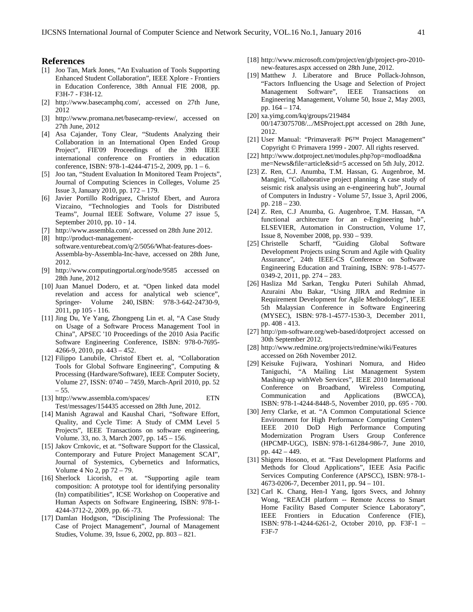#### **References**

2012.

- [1] Joo Tan, Mark Jones, "An Evaluation of Tools Supporting Enhanced Student Collaboration", IEEE Xplore - Frontiers in Education Conference, 38th Annual FIE 2008, pp. F3H-7 - F3H-12.
- [2] [http://www.basecamphq.com/,](http://www.basecamphq.com/) accessed on 27th June, 2012
- [3] [http://www.promana.net/basecamp-review/,](http://www.promana.net/basecamp-review/) accessed on 27th June, 2012
- [4] Asa Cajander, Tony Clear, "Students Analyzing their Collaboration in an International Open Ended Group Project", FIE'09 Proceedings of the 39th IEEE international conference on Frontiers in education conference, ISBN: 978-1-4244-4715-2, 2009, pp. 1 – 6.
- [5] Joo tan, "Student Evaluation In Monitored Team Projects", Journal of Computing Sciences in Colleges, Volume 25 Issue 3, January 2010, pp. 172 – 179.
- [6] Javier Portillo Rodríguez, Christof Ebert, and Aurora Vizcaino, "Technologies and Tools for Distributed Teams", Journal IEEE Software, Volume 27 issue 5, September 2010, pp. 10 - 14.
- [7] [http://www.assembla.com/,](http://www.assembla.com/) accessed on 28th June 2012. [8] http://product-managementsoftware.venturebeat.com/q/2/5056/What-features-does-Assembla-by-Assembla-Inc-have, accessed on 28th June,
- [9] http://www.computingportal.org/node/9585 accessed on 28th June, 2012
- [10] Juan Manuel Dodero, et at. "Open linked data model revelation and access for analytical web science", Springer- Volume 240, ISBN: 978-3-642-24730-9, 2011, pp 105 - 116.
- [11] Jing Du, Ye Yang, Zhongpeng Lin et. al, "A Case Study on Usage of a Software Process Management Tool in China", APSEC '10 Proceedings of the 2010 Asia Pacific Software Engineering Conference, ISBN: 978-0-7695- 4266-9, 2010, pp. 443 – 452.
- [12] Filippo Lanubile, Christof Ebert et. al, "Collaboration Tools for Global Software Engineering", Computing & Processing (Hardware/Software), IEEE Computer Society, Volume 27, ISSN: 0740 – 7459, March-April 2010, pp. 52 – 55.
- [13] [http://www.assembla.com/spaces/ ETN](http://www.assembla.com/spaces/%20ETN%20Test/messages/154435)  [Test/messages/154435](http://www.assembla.com/spaces/%20ETN%20Test/messages/154435) accessed on 28th June, 2012.
- [14] Manish Agrawal and Kaushal Chari, "Software Effort, Quality, and Cycle Time: A Study of CMM Level 5 Projects", IEEE Transactions on software engineering, Volume. 33, no. 3, March 2007, pp. 145 – 156.
- [15] Jakov Crnkovic, et at. "Software Support for the Classical, Contemporary and Future Project Management SCAI", Journal of Systemics, Cybernetics and Informatics, Volume 4 No 2, pp 72 – 79.
- [16] Sherlock Licorish, et at. "Supporting agile team composition: A prototype tool for identifying personality (In) compatibilities", ICSE Workshop on Cooperative and Human Aspects on Software Engineering, ISBN: 978-1- 4244-3712-2, 2009, pp. 66 -73.
- [17] Damlan Hodgson, "Disciplining The Professional: The Case of Project Management", Journal of Management Studies, Volume. 39, Issue 6, 2002, pp. 803 – 821.
- [18] [http://www.microsoft.com/project/en/gb/project-pro-2010](http://www.microsoft.com/project/en/gb/project-pro-2010-new-features.aspx) [new-features.aspx](http://www.microsoft.com/project/en/gb/project-pro-2010-new-features.aspx) accessed on 28th June, 2012.
- [19] Matthew J. Liberatore and Bruce Pollack-Johnson, "Factors Influencing the Usage and Selection of Project Management Software", IEEE Transactions on Engineering Management, Volume 50, Issue 2, May 2003, pp. 164 – 174.
- [20] xa.yimg.com/kq/groups/219484 00/1473075708/.../MSProject.ppt accessed on 28th June, 2012.
- [21] User Manual: "Primavera® P6™ Project Management" Copyright © Primavera 1999 - 2007. All rights reserved.
- [22] http://www.dotproject.net/modules.php?op=modload&na me=News&file=article&sid=5 accessed on 5th July, 2012.
- [23] Z. Ren, C.J. Anumba, T.M. Hassan, G. Augenbroe, M. Mangini, "Collaborative project planning A case study of seismic risk analysis using an e-engineering hub", Journal of Computers in Industry - Volume 57, Issue 3, April 2006, pp. 218 – 230.
- [24] Z. Ren, C.J Anumba, G. Augenbroe, T.M. Hassan, "A functional architecture for an e-Engineering hub", ELSEVIER, Automation in Construction, Volume 17, Issue 8, November 2008, pp. 930 – 939.
- [25] Christelle Scharff, "Guiding Global Software Development Projects using Scrum and Agile with Quality Assurance", 24th IEEE-CS Conference on Software Engineering Education and Training, ISBN: 978-1-4577- 0349-2, 2011, pp. 274 – 283.
- [26] Hasliza Md Sarkan, Tengku Puteri Suhilah Ahmad, Azuraini Abu Bakar, "Using JIRA and Redmine in Requirement Development for Agile Methodology", IEEE 5th Malaysian Conference in Software Engineering (MYSEC), ISBN: 978-1-4577-1530-3, December 2011, pp. 408 - 413.
- [27] <http://pm-software.org/web-based/dotproject> accessed on 30th September 2012.
- [28] <http://www.redmine.org/projects/redmine/wiki/Features> accessed on 26th November 2012.
- [29] Keisuke Fujiwara, Yoshinari Nomura, and Hideo Taniguchi, "A Mailing List Management System Mashing-up withWeb Services", IEEE 2010 International Conference on Broadband, Wireless Computing, Communication and Applications (BWCCA), ISBN: 978-1-4244-8448-5, November 2010, pp. 695 - 700.
- [30] Jerry Clarke, et at. "A Common Computational Science Environment for High Performance Computing Centers" IEEE 2010 DoD High Performance Computing Modernization Program Users Group Conference (HPCMP-UGC), ISBN: 978-1-61284-986-7, June 2010, pp. 442 – 449.
- [31] Shigeru Hosono, et at. "Fast Development Platforms and Methods for Cloud Applications", IEEE Asia Pacific Services Computing Conference (APSCC), ISBN: 978-1- 4673-0206-7, December 2011, pp. 94 – 101.
- [32] Carl K. Chang, Hen-I Yang, Igors Svecs, and Johnny Wong, "REACH platform -- Remote Access to Smart Home Facility Based Computer Science Laboratory", IEEE Frontiers in Education Conference (FIE), ISBN: 978-1-4244-6261-2, October 2010, pp. F3F-1 – F3F-7